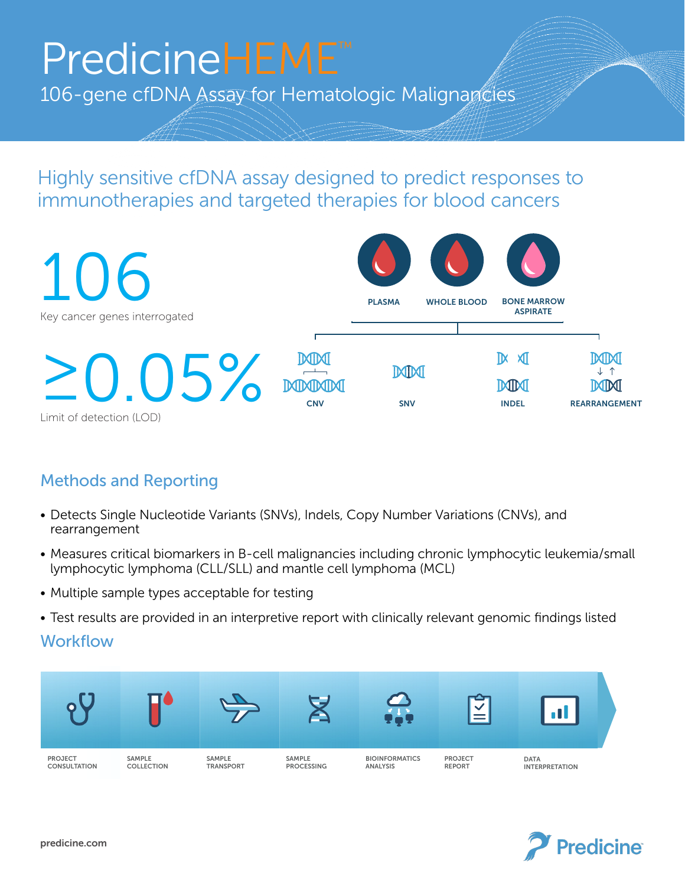## PredicineHEME PredicineHEME™

106-gene cfDNA Assay for Hematologic Malignapcies 106-gene cfDNA Assay for Hematologic Malignancies 106-gene cfDNA Assay for Hematologic Malignancies

Highly sensitive cfDNA assay designed to predict responses to immunotherapies and targeted therapies for blood cancers Highly sensitive cfDNA assay designed to predict responses to Highly sensitive cfDNA assay designed to predict responses to immunotherapies and targeted therapies for blood cancers immunotherapies and targeted therapies for blood cancers



## Methods and Reporting Methods and Reporting Methods and Reporting

- Detects Single Nucleotide Variants (SNVs), Indels, Copy Number Variations (CNVs), and rearrangement en andre scritical biomarkers in B-cell malignancies including chronic leukemia/small malignancies including chronic leukemia/small malignancies in B-cell malignancies including chronic leukemia/small maligna  $\sum_{i=1}^{n}$ • Detects Single Nucleotide Variants (SNVs), Indel  $\mathcal{L}_{\text{S}}$  . Measures critical biomarkers in B-cell malignancies including chronic leukemia/smaller leukemia/smaller leukemia/smaller leukemia/smaller leukemia/smaller leukemia/smaller leukemia/smaller leukemia/smaller
- Measures critical biomarkers in B-cell malignancies including chronic lymphocytic leukemia/small lymphocytic lymphoma (CLL/SLL) and mantle cell lymphoma (MCL) lymphocytic lymphoma (CLL/SLL) and mantle cell lymphoma (MCL) Measures critical biomarkers in B-cell malignancies including chroni  $\mathbf{v}_1 \cdot \mathbf{v}_2 \cdot \mathbf{v}_3 \cdot \mathbf{v}_4 \cdot \mathbf{v}_5 \cdot \mathbf{v}_6 \cdot \mathbf{v}_7 \cdot \mathbf{v}_8 \cdot \mathbf{v}_9 \cdot \mathbf{v}_9 \cdot \mathbf{v}_9 \cdot \mathbf{v}_9 \cdot \mathbf{v}_9 \cdot \mathbf{v}_9 \cdot \mathbf{v}_9 \cdot \mathbf{v}_9 \cdot \mathbf{v}_9 \cdot \mathbf{v}_9 \cdot \mathbf{v}_9 \cdot \mathbf{v}_9 \cdot \mathbf{v}_9 \cdot \mathbf{v}_9 \cdot \mathbf{v}_9 \cdot \mathbf{v}_9 \cdot \mathbf{$
- Multiple sample types acceptable for testing in an interpretive report with clinical states in an interpretive report with clinical states in an interpretive report with clinical states in an interpretive relevant and in • Test results are provided in an interpretive report with clinically relevant genomic findings listed
- Test results are provided in an interpretive report with clinically relevant genomic findings listed

## Workflow  $M_{\odot}$  whether  $\sim$ Workflow